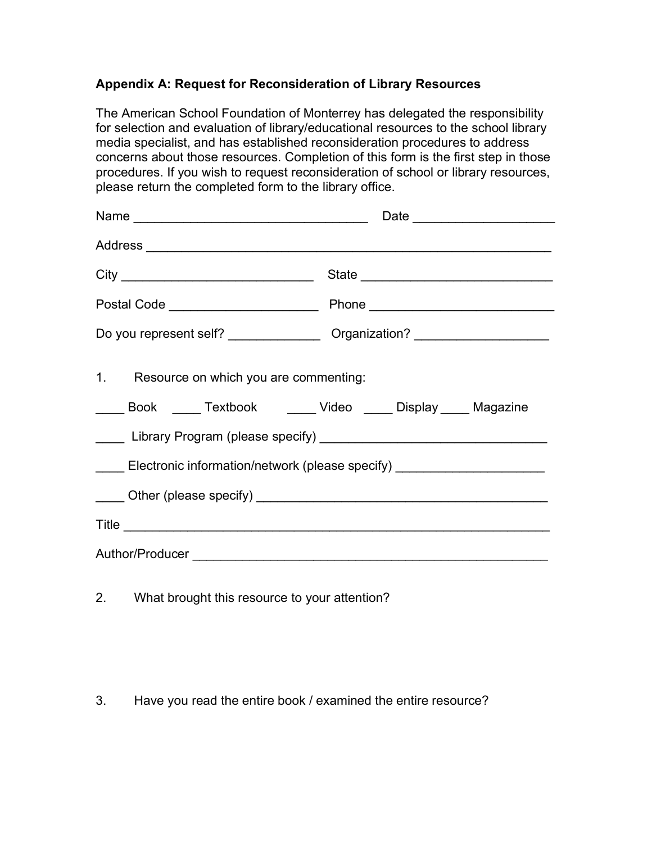## **Appendix A: Request for Reconsideration of Library Resources**

The American School Foundation of Monterrey has delegated the responsibility for selection and evaluation of library/educational resources to the school library media specialist, and has established reconsideration procedures to address concerns about those resources. Completion of this form is the first step in those procedures. If you wish to request reconsideration of school or library resources, please return the completed form to the library office.

|                                                                                                                | Do you represent self? ____________________ Organization? ______________________ |
|----------------------------------------------------------------------------------------------------------------|----------------------------------------------------------------------------------|
| 1. Resource on which you are commenting:<br>_____ Book _____ Textbook ______ Video _____ Display ____ Magazine |                                                                                  |
|                                                                                                                |                                                                                  |
| Electronic information/network (please specify) ________________________________                               |                                                                                  |
|                                                                                                                |                                                                                  |
|                                                                                                                |                                                                                  |
|                                                                                                                |                                                                                  |

2. What brought this resource to your attention?

3. Have you read the entire book / examined the entire resource?